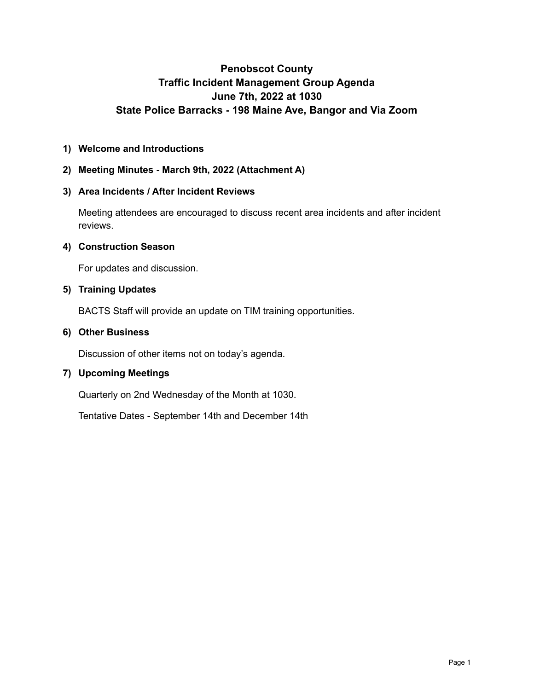# **Penobscot County Traffic Incident Management Group Agenda June 7th, 2022 at 1030 State Police Barracks - 198 Maine Ave, Bangor and Via Zoom**

## **1) Welcome and Introductions**

## **2) Meeting Minutes - March 9th, 2022 (Attachment A)**

### **3) Area Incidents / After Incident Reviews**

Meeting attendees are encouraged to discuss recent area incidents and after incident reviews.

### **4) Construction Season**

For updates and discussion.

### **5) Training Updates**

BACTS Staff will provide an update on TIM training opportunities.

#### **6) Other Business**

Discussion of other items not on today's agenda.

### **7) Upcoming Meetings**

Quarterly on 2nd Wednesday of the Month at 1030.

Tentative Dates - September 14th and December 14th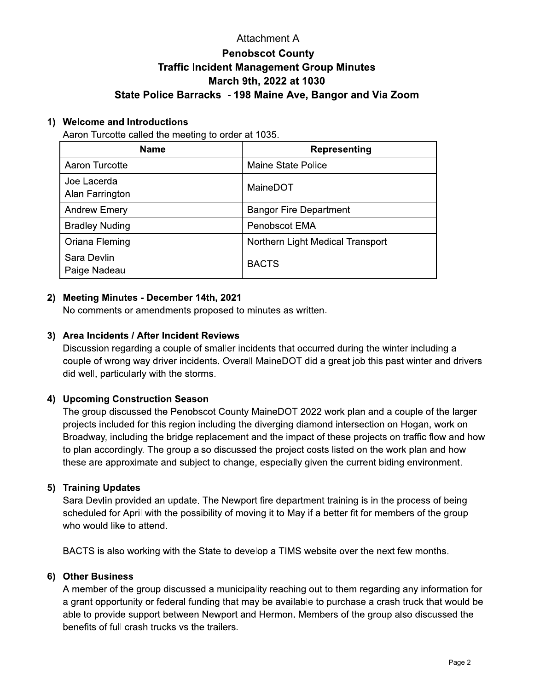# **Attachment A Penobscot County Traffic Incident Management Group Minutes** March 9th, 2022 at 1030 State Police Barracks - 198 Maine Ave, Bangor and Via Zoom

### 1) Welcome and Introductions

Aaron Turcotte called the meeting to order at 1035.

| <b>Name</b>                    | <b>Representing</b>              |
|--------------------------------|----------------------------------|
| Aaron Turcotte                 | <b>Maine State Police</b>        |
| Joe Lacerda<br>Alan Farrington | MaineDOT                         |
| <b>Andrew Emery</b>            | <b>Bangor Fire Department</b>    |
| <b>Bradley Nuding</b>          | Penobscot EMA                    |
| Oriana Fleming                 | Northern Light Medical Transport |
| Sara Devlin<br>Paige Nadeau    | <b>BACTS</b>                     |

## 2) Meeting Minutes - December 14th, 2021

No comments or amendments proposed to minutes as written.

## 3) Area Incidents / After Incident Reviews

Discussion regarding a couple of smaller incidents that occurred during the winter including a couple of wrong way driver incidents. Overall MaineDOT did a great job this past winter and drivers did well, particularly with the storms.

### 4) Upcoming Construction Season

The group discussed the Penobscot County MaineDOT 2022 work plan and a couple of the larger projects included for this region including the diverging diamond intersection on Hogan, work on Broadway, including the bridge replacement and the impact of these projects on traffic flow and how to plan accordingly. The group also discussed the project costs listed on the work plan and how these are approximate and subject to change, especially given the current biding environment.

### 5) Training Updates

Sara Devlin provided an update. The Newport fire department training is in the process of being scheduled for April with the possibility of moving it to May if a better fit for members of the group who would like to attend.

BACTS is also working with the State to develop a TIMS website over the next few months.

### 6) Other Business

A member of the group discussed a municipality reaching out to them regarding any information for a grant opportunity or federal funding that may be available to purchase a crash truck that would be able to provide support between Newport and Hermon. Members of the group also discussed the benefits of full crash trucks vs the trailers.